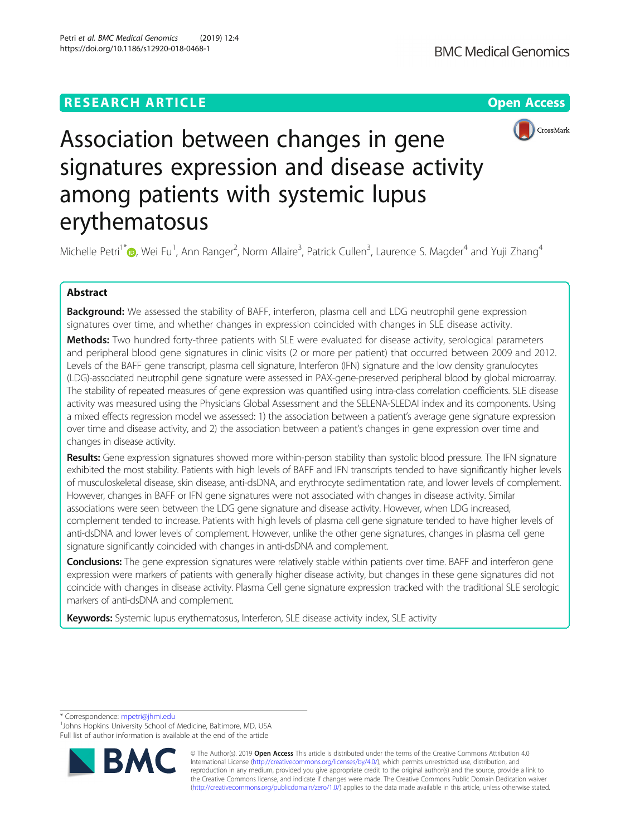

# Association between changes in gene signatures expression and disease activity among patients with systemic lupus erythematosus

Michelle Petri<sup>1\*</sup> (D[,](http://orcid.org/0000-0003-1441-5373) Wei Fu<sup>1</sup>, Ann Ranger<sup>2</sup>, Norm Allaire<sup>3</sup>, Patrick Cullen<sup>3</sup>, Laurence S. Magder<sup>4</sup> and Yuji Zhang<sup>4</sup>

## Abstract

Background: We assessed the stability of BAFF, interferon, plasma cell and LDG neutrophil gene expression signatures over time, and whether changes in expression coincided with changes in SLE disease activity.

Methods: Two hundred forty-three patients with SLE were evaluated for disease activity, serological parameters and peripheral blood gene signatures in clinic visits (2 or more per patient) that occurred between 2009 and 2012. Levels of the BAFF gene transcript, plasma cell signature, Interferon (IFN) signature and the low density granulocytes (LDG)-associated neutrophil gene signature were assessed in PAX-gene-preserved peripheral blood by global microarray. The stability of repeated measures of gene expression was quantified using intra-class correlation coefficients. SLE disease activity was measured using the Physicians Global Assessment and the SELENA-SLEDAI index and its components. Using a mixed effects regression model we assessed: 1) the association between a patient's average gene signature expression over time and disease activity, and 2) the association between a patient's changes in gene expression over time and changes in disease activity.

Results: Gene expression signatures showed more within-person stability than systolic blood pressure. The IFN signature exhibited the most stability. Patients with high levels of BAFF and IFN transcripts tended to have significantly higher levels of musculoskeletal disease, skin disease, anti-dsDNA, and erythrocyte sedimentation rate, and lower levels of complement. However, changes in BAFF or IFN gene signatures were not associated with changes in disease activity. Similar associations were seen between the LDG gene signature and disease activity. However, when LDG increased, complement tended to increase. Patients with high levels of plasma cell gene signature tended to have higher levels of anti-dsDNA and lower levels of complement. However, unlike the other gene signatures, changes in plasma cell gene signature significantly coincided with changes in anti-dsDNA and complement.

**Conclusions:** The gene expression signatures were relatively stable within patients over time. BAFF and interferon gene expression were markers of patients with generally higher disease activity, but changes in these gene signatures did not coincide with changes in disease activity. Plasma Cell gene signature expression tracked with the traditional SLE serologic markers of anti-dsDNA and complement.

Keywords: Systemic lupus erythematosus, Interferon, SLE disease activity index, SLE activity

\* Correspondence: [mpetri@jhmi.edu](mailto:mpetri@jhmi.edu) <sup>1</sup>

<sup>1</sup> Johns Hopkins University School of Medicine, Baltimore, MD, USA Full list of author information is available at the end of the article



© The Author(s). 2019 Open Access This article is distributed under the terms of the Creative Commons Attribution 4.0 International License [\(http://creativecommons.org/licenses/by/4.0/](http://creativecommons.org/licenses/by/4.0/)), which permits unrestricted use, distribution, and reproduction in any medium, provided you give appropriate credit to the original author(s) and the source, provide a link to the Creative Commons license, and indicate if changes were made. The Creative Commons Public Domain Dedication waiver [\(http://creativecommons.org/publicdomain/zero/1.0/](http://creativecommons.org/publicdomain/zero/1.0/)) applies to the data made available in this article, unless otherwise stated.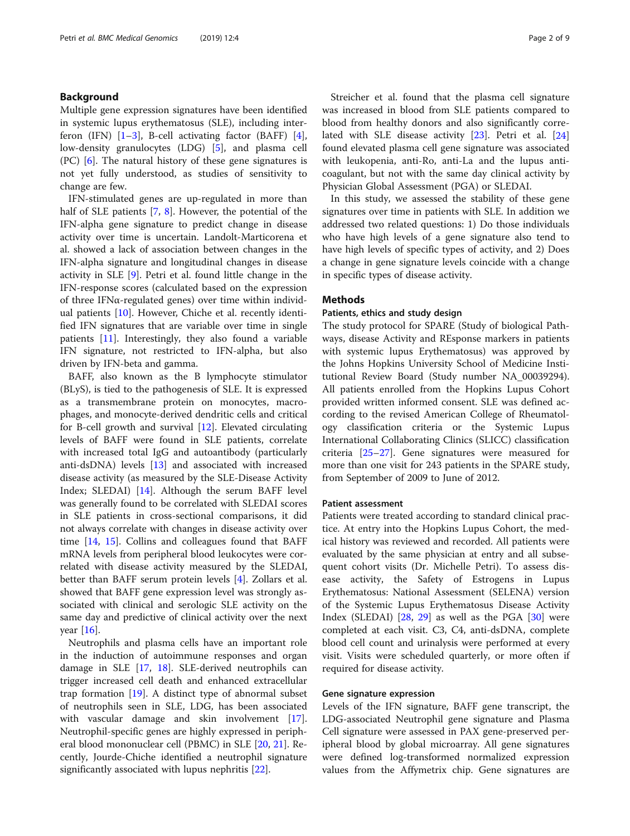## Background

Multiple gene expression signatures have been identified in systemic lupus erythematosus (SLE), including interferon (IFN)  $[1-3]$  $[1-3]$  $[1-3]$ , B-cell activating factor (BAFF)  $[4]$  $[4]$ , low-density granulocytes (LDG) [[5\]](#page-7-0), and plasma cell (PC) [\[6](#page-7-0)]. The natural history of these gene signatures is not yet fully understood, as studies of sensitivity to change are few.

IFN-stimulated genes are up-regulated in more than half of SLE patients [[7,](#page-8-0) [8](#page-8-0)]. However, the potential of the IFN-alpha gene signature to predict change in disease activity over time is uncertain. Landolt-Marticorena et al. showed a lack of association between changes in the IFN-alpha signature and longitudinal changes in disease activity in SLE [[9\]](#page-8-0). Petri et al. found little change in the IFN-response scores (calculated based on the expression of three IFNα-regulated genes) over time within individual patients [\[10](#page-8-0)]. However, Chiche et al. recently identified IFN signatures that are variable over time in single patients [\[11](#page-8-0)]. Interestingly, they also found a variable IFN signature, not restricted to IFN-alpha, but also driven by IFN-beta and gamma.

BAFF, also known as the B lymphocyte stimulator (BLyS), is tied to the pathogenesis of SLE. It is expressed as a transmembrane protein on monocytes, macrophages, and monocyte-derived dendritic cells and critical for B-cell growth and survival [\[12\]](#page-8-0). Elevated circulating levels of BAFF were found in SLE patients, correlate with increased total IgG and autoantibody (particularly anti-dsDNA) levels [\[13\]](#page-8-0) and associated with increased disease activity (as measured by the SLE-Disease Activity Index; SLEDAI) [[14\]](#page-8-0). Although the serum BAFF level was generally found to be correlated with SLEDAI scores in SLE patients in cross-sectional comparisons, it did not always correlate with changes in disease activity over time [[14,](#page-8-0) [15](#page-8-0)]. Collins and colleagues found that BAFF mRNA levels from peripheral blood leukocytes were correlated with disease activity measured by the SLEDAI, better than BAFF serum protein levels [\[4](#page-7-0)]. Zollars et al. showed that BAFF gene expression level was strongly associated with clinical and serologic SLE activity on the same day and predictive of clinical activity over the next year [[16\]](#page-8-0).

Neutrophils and plasma cells have an important role in the induction of autoimmune responses and organ damage in SLE [\[17](#page-8-0), [18\]](#page-8-0). SLE-derived neutrophils can trigger increased cell death and enhanced extracellular trap formation [[19\]](#page-8-0). A distinct type of abnormal subset of neutrophils seen in SLE, LDG, has been associated with vascular damage and skin involvement [\[17](#page-8-0)]. Neutrophil-specific genes are highly expressed in peripheral blood mononuclear cell (PBMC) in SLE [[20](#page-8-0), [21](#page-8-0)]. Recently, Jourde-Chiche identified a neutrophil signature significantly associated with lupus nephritis [[22\]](#page-8-0).

Streicher et al. found that the plasma cell signature was increased in blood from SLE patients compared to blood from healthy donors and also significantly correlated with SLE disease activity [\[23](#page-8-0)]. Petri et al. [[24](#page-8-0)] found elevated plasma cell gene signature was associated with leukopenia, anti-Ro, anti-La and the lupus anticoagulant, but not with the same day clinical activity by Physician Global Assessment (PGA) or SLEDAI.

In this study, we assessed the stability of these gene signatures over time in patients with SLE. In addition we addressed two related questions: 1) Do those individuals who have high levels of a gene signature also tend to have high levels of specific types of activity, and 2) Does a change in gene signature levels coincide with a change in specific types of disease activity.

## Methods

## Patients, ethics and study design

The study protocol for SPARE (Study of biological Pathways, disease Activity and REsponse markers in patients with systemic lupus Erythematosus) was approved by the Johns Hopkins University School of Medicine Institutional Review Board (Study number NA\_00039294). All patients enrolled from the Hopkins Lupus Cohort provided written informed consent. SLE was defined according to the revised American College of Rheumatology classification criteria or the Systemic Lupus International Collaborating Clinics (SLICC) classification criteria [\[25](#page-8-0)–[27\]](#page-8-0). Gene signatures were measured for more than one visit for 243 patients in the SPARE study, from September of 2009 to June of 2012.

#### Patient assessment

Patients were treated according to standard clinical practice. At entry into the Hopkins Lupus Cohort, the medical history was reviewed and recorded. All patients were evaluated by the same physician at entry and all subsequent cohort visits (Dr. Michelle Petri). To assess disease activity, the Safety of Estrogens in Lupus Erythematosus: National Assessment (SELENA) version of the Systemic Lupus Erythematosus Disease Activity Index (SLEDAI)  $[28, 29]$  $[28, 29]$  $[28, 29]$  $[28, 29]$  as well as the PGA  $[30]$  were completed at each visit. C3, C4, anti-dsDNA, complete blood cell count and urinalysis were performed at every visit. Visits were scheduled quarterly, or more often if required for disease activity.

### Gene signature expression

Levels of the IFN signature, BAFF gene transcript, the LDG-associated Neutrophil gene signature and Plasma Cell signature were assessed in PAX gene-preserved peripheral blood by global microarray. All gene signatures were defined log-transformed normalized expression values from the Affymetrix chip. Gene signatures are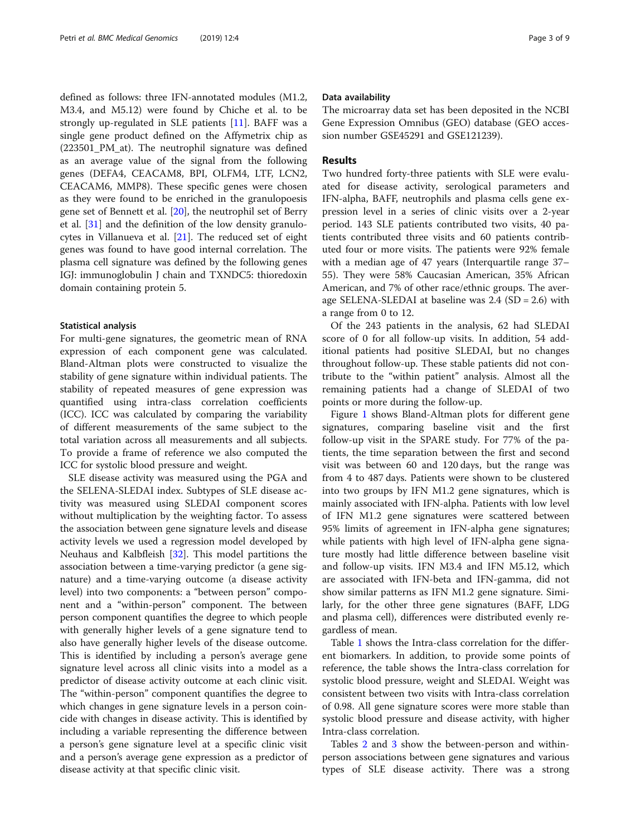defined as follows: three IFN-annotated modules (M1.2, M3.4, and M5.12) were found by Chiche et al. to be strongly up-regulated in SLE patients [[11\]](#page-8-0). BAFF was a single gene product defined on the Affymetrix chip as (223501\_PM\_at). The neutrophil signature was defined as an average value of the signal from the following genes (DEFA4, CEACAM8, BPI, OLFM4, LTF, LCN2, CEACAM6, MMP8). These specific genes were chosen as they were found to be enriched in the granulopoesis gene set of Bennett et al. [[20\]](#page-8-0), the neutrophil set of Berry et al. [\[31](#page-8-0)] and the definition of the low density granulocytes in Villanueva et al. [\[21](#page-8-0)]. The reduced set of eight genes was found to have good internal correlation. The plasma cell signature was defined by the following genes IGJ: immunoglobulin J chain and TXNDC5: thioredoxin domain containing protein 5.

## Statistical analysis

For multi-gene signatures, the geometric mean of RNA expression of each component gene was calculated. Bland-Altman plots were constructed to visualize the stability of gene signature within individual patients. The stability of repeated measures of gene expression was quantified using intra-class correlation coefficients (ICC). ICC was calculated by comparing the variability of different measurements of the same subject to the total variation across all measurements and all subjects. To provide a frame of reference we also computed the ICC for systolic blood pressure and weight.

SLE disease activity was measured using the PGA and the SELENA-SLEDAI index. Subtypes of SLE disease activity was measured using SLEDAI component scores without multiplication by the weighting factor. To assess the association between gene signature levels and disease activity levels we used a regression model developed by Neuhaus and Kalbfleish [\[32](#page-8-0)]. This model partitions the association between a time-varying predictor (a gene signature) and a time-varying outcome (a disease activity level) into two components: a "between person" component and a "within-person" component. The between person component quantifies the degree to which people with generally higher levels of a gene signature tend to also have generally higher levels of the disease outcome. This is identified by including a person's average gene signature level across all clinic visits into a model as a predictor of disease activity outcome at each clinic visit. The "within-person" component quantifies the degree to which changes in gene signature levels in a person coincide with changes in disease activity. This is identified by including a variable representing the difference between a person's gene signature level at a specific clinic visit and a person's average gene expression as a predictor of disease activity at that specific clinic visit.

#### Data availability

The microarray data set has been deposited in the NCBI Gene Expression Omnibus (GEO) database (GEO accession number GSE45291 and GSE121239).

## Results

Two hundred forty-three patients with SLE were evaluated for disease activity, serological parameters and IFN-alpha, BAFF, neutrophils and plasma cells gene expression level in a series of clinic visits over a 2-year period. 143 SLE patients contributed two visits, 40 patients contributed three visits and 60 patients contributed four or more visits. The patients were 92% female with a median age of 47 years (Interquartile range 37– 55). They were 58% Caucasian American, 35% African American, and 7% of other race/ethnic groups. The average SELENA-SLEDAI at baseline was  $2.4$  (SD = 2.6) with a range from 0 to 12.

Of the 243 patients in the analysis, 62 had SLEDAI score of 0 for all follow-up visits. In addition, 54 additional patients had positive SLEDAI, but no changes throughout follow-up. These stable patients did not contribute to the "within patient" analysis. Almost all the remaining patients had a change of SLEDAI of two points or more during the follow-up.

Figure [1](#page-3-0) shows Bland-Altman plots for different gene signatures, comparing baseline visit and the first follow-up visit in the SPARE study. For 77% of the patients, the time separation between the first and second visit was between 60 and 120 days, but the range was from 4 to 487 days. Patients were shown to be clustered into two groups by IFN M1.2 gene signatures, which is mainly associated with IFN-alpha. Patients with low level of IFN M1.2 gene signatures were scattered between 95% limits of agreement in IFN-alpha gene signatures; while patients with high level of IFN-alpha gene signature mostly had little difference between baseline visit and follow-up visits. IFN M3.4 and IFN M5.12, which are associated with IFN-beta and IFN-gamma, did not show similar patterns as IFN M1.2 gene signature. Similarly, for the other three gene signatures (BAFF, LDG and plasma cell), differences were distributed evenly regardless of mean.

Table [1](#page-3-0) shows the Intra-class correlation for the different biomarkers. In addition, to provide some points of reference, the table shows the Intra-class correlation for systolic blood pressure, weight and SLEDAI. Weight was consistent between two visits with Intra-class correlation of 0.98. All gene signature scores were more stable than systolic blood pressure and disease activity, with higher Intra-class correlation.

Tables [2](#page-4-0) and [3](#page-5-0) show the between-person and withinperson associations between gene signatures and various types of SLE disease activity. There was a strong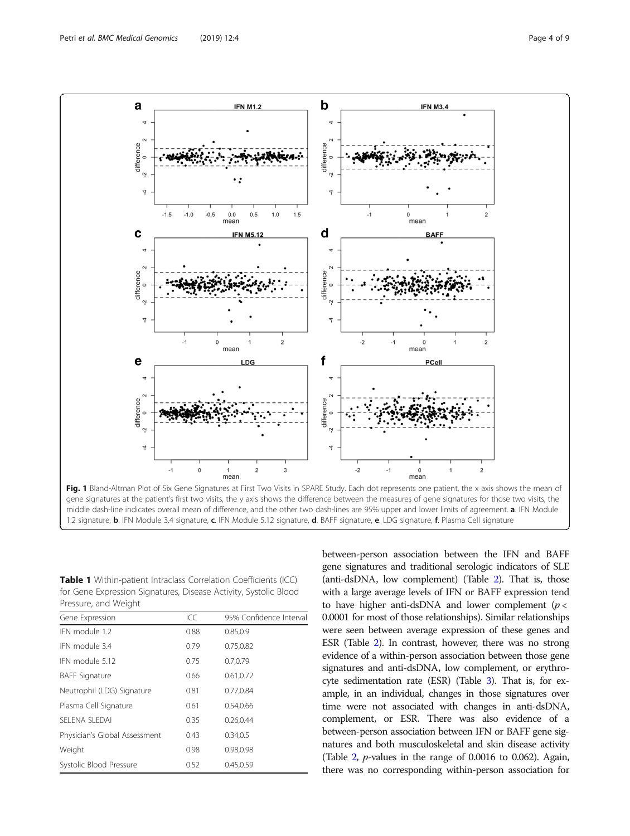<span id="page-3-0"></span>

Table 1 Within-patient Intraclass Correlation Coefficients (ICC) for Gene Expression Signatures, Disease Activity, Systolic Blood

| Pressure, and Weight          |      |                         |
|-------------------------------|------|-------------------------|
| Gene Expression               | ICC  | 95% Confidence Interval |
| IFN module 1.2                | 0.88 | 0.85,0.9                |
| IFN module 3.4                | 0.79 | 0.75,0.82               |
| IFN module 5.12               | 0.75 | 0.7,0.79                |
| <b>BAFF Signature</b>         | 0.66 | 0.61,0.72               |
| Neutrophil (LDG) Signature    | 0.81 | 0.77,0.84               |
| Plasma Cell Signature         | 0.61 | 0.54.0.66               |
| SEI ENA SI EDAI               | 0.35 | 0.26,0.44               |
| Physician's Global Assessment | 0.43 | 0.34,0.5                |
| Weight                        | 0.98 | 0.98,0.98               |
| Systolic Blood Pressure       | 0.52 | 0.45,0.59               |

between-person association between the IFN and BAFF gene signatures and traditional serologic indicators of SLE (anti-dsDNA, low complement) (Table [2\)](#page-4-0). That is, those with a large average levels of IFN or BAFF expression tend to have higher anti-dsDNA and lower complement ( $p <$ 0.0001 for most of those relationships). Similar relationships were seen between average expression of these genes and ESR (Table [2](#page-4-0)). In contrast, however, there was no strong evidence of a within-person association between those gene signatures and anti-dsDNA, low complement, or erythrocyte sedimentation rate (ESR) (Table [3\)](#page-5-0). That is, for example, in an individual, changes in those signatures over time were not associated with changes in anti-dsDNA, complement, or ESR. There was also evidence of a between-person association between IFN or BAFF gene signatures and both musculoskeletal and skin disease activity (Table [2](#page-4-0), p-values in the range of 0.0016 to 0.062). Again, there was no corresponding within-person association for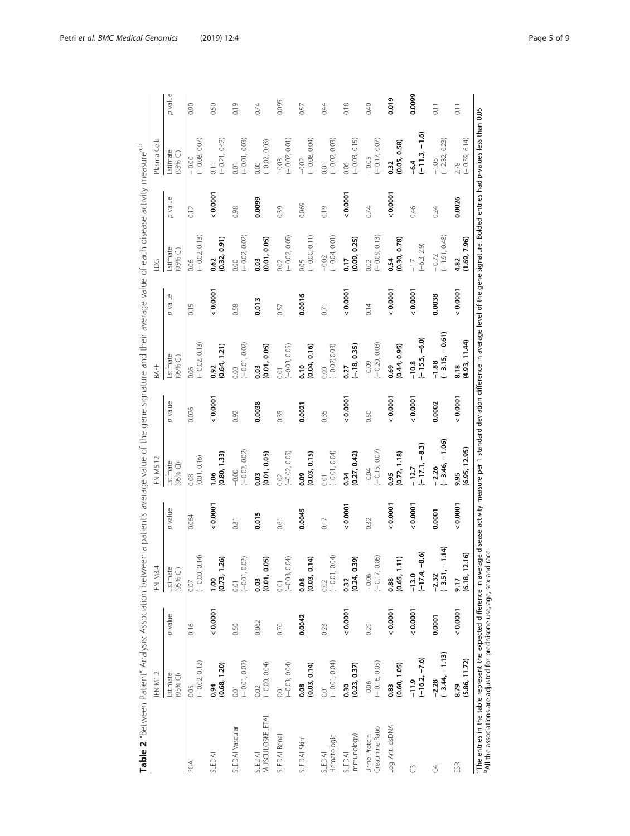<span id="page-4-0"></span>

|                                                                                                                                                                                                                                                                                                          | IFN M1.2                                          |         | IFN M3.4                                            |         | IFN M5.12                         |         | BAFF                              |         | $\overline{5}$             |         | Plasma Cells                        |                  |
|----------------------------------------------------------------------------------------------------------------------------------------------------------------------------------------------------------------------------------------------------------------------------------------------------------|---------------------------------------------------|---------|-----------------------------------------------------|---------|-----------------------------------|---------|-----------------------------------|---------|----------------------------|---------|-------------------------------------|------------------|
|                                                                                                                                                                                                                                                                                                          | Estimate<br>(95% C)                               | p value | Estimate<br>$(95%$ Cl)                              | p value | Estimate<br>$(95%$ CI)            | p value | Estimate<br>95% CI)               | p value | Estimate<br>$(95%$ CI)     | p value | Estimate<br>$(95%$ CI)              | p value          |
| PGA                                                                                                                                                                                                                                                                                                      | $(-0.02, 0.12)$<br>0.05                           | 0.16    | $(-0.00, 0.14)$<br>0.07                             | 0.064   | (0.01, 0.16)<br>0.08              | 0.026   | $-0.02, 0.13$<br>0.06             | 0.15    | $(-0.02, 0.13)$<br>0.06    | 0.12    | $(-0.08, 0.07)$<br>$-0.00 -$        | 0.90             |
| SLEDAI                                                                                                                                                                                                                                                                                                   | (0.68, 1.20)<br>0.94                              | 0.0001  | $\begin{array}{c} 1.00 \\ (0.73, 1.26) \end{array}$ | 0.0001  | (0.80, 1.33)<br>0.06              | 0.0001  | (0.64, 1.21)<br>0.92              | 0.0001  | (0.32, 0.91)<br>0.62       | 0.0001  | $(-0.21, 0.42)$<br>$\overline{0}$ . | 0.50             |
| SLEDAI Vascular                                                                                                                                                                                                                                                                                          | $(-0.01, 0.02)$<br>$\overline{0}$ .               | 0.50    | $(-0.01, 0.02)$<br>$\overline{0}$                   | 0.81    | $(-0.02, 0.02)$<br>$-0.00$        | 0.92    | $(-0.01, 0.02)$<br>0.00           | 0.58    | $(-0.02, 0.02)$<br>0.00    | 0.98    | $(-0.01, 0.03)$<br>0.01             | 0.19             |
| <b>MUSCULOSKELETAL</b><br>SLEDAI                                                                                                                                                                                                                                                                         | $(-0.00, 0.04)$<br>0.02                           | 0.062   | (0.01, 0.05)<br>0.03                                | 0.015   | (0.01, 0.05)<br>0.03              | 0.0038  | (0.01, 0.05)<br>0.03              | 0.013   | (0.01, 0.05)<br>0.03       | 0.0099  | $(-0.02, 0.03)$<br>0.00             | 0.74             |
| SLEDAI Renal                                                                                                                                                                                                                                                                                             | $(-0.03, 0.04)$<br>0.01                           | 0.70    | $(-0.03, 0.04)$<br>0.01                             | 0.61    | $(-0.02, 0.05)$<br>0.02           | 0.35    | $(-0.03, 0.05)$<br>$\overline{0}$ | 0.57    | $(-0.02, 0.05)$<br>0.02    | 0.39    | $(-0.07, 0.01)$<br>$-0.03$          | 0.095            |
| SLEDAI Skin                                                                                                                                                                                                                                                                                              | (0.03, 0.14)<br>0.08                              | 0.0042  | (0.03, 0.14)<br>0.08                                | 0.0045  | (0.03, 0.15)<br>0.09              | 0.0021  | (0.04, 0.16)<br>$\frac{1}{2}$     | 0.0016  | $(-0.00, 0.11)$<br>0.05    | 0.069   | $(-0.08, 0.04)$<br>$-0.02$          | 0.57             |
| Hematologic<br>SLEDAI                                                                                                                                                                                                                                                                                    | $(-0.01, 0.04)$<br>$\overline{0}$ .               | 0.23    | $(-0.01, 0.04)$<br>0.02                             | 0.17    | $(-0.01, 0.04)$<br>$\overline{0}$ | 0.35    | $(-0.02), 0.03$<br>0.00           | 0.71    | $(-0.04, 0.01)$<br>$-0.02$ | 0.19    | $(-0.02, 0.03)$<br>0.01             | 0.44             |
| Immunology)<br>SLEDAI                                                                                                                                                                                                                                                                                    | $\begin{array}{c} 0.30 \\ 0.23, 0.37 \end{array}$ | 0.0001  | (0.24, 0.39)<br>0.32                                | 0.0001  | (0.27, 0.42)<br>0.34              | 0.0001  | $(-.18, 0.35)$<br>0.27            | 0.0001  | (0.09, 0.25)<br>0.17       | 0.0001  | $(-0.03, 0.15)$<br>0.06             | 0.18             |
| Creatinine Ratio<br>Urine Protein                                                                                                                                                                                                                                                                        | $(-0.16, 0.05)$<br>$-0.06$                        | 0.29    | $(-0.17, 0.05)$<br>$-0.06$                          | 0.32    | $(-0.15, 0.07)$<br>$-0.04$        | 0.50    | $(-0.20, 0.03)$<br>$-0.09$        | 0.14    | $(-0.09, 0.13)$<br>0.02    | 0.74    | $(-0.17, 0.07)$<br>$-0.05$          | 0.40             |
| Log Anti-dsDNA                                                                                                                                                                                                                                                                                           | (0.60, 1.05)<br>0.83                              | 0.0001  | $\widehat{=}$<br>(0.65, 1.1)<br>0.88                | 0.0001  | (0.72, 1.18)<br>0.95              | 0.0001  | (0.44, 0.95)<br>0.69              | 0.0001  | (0.30, 0.78)<br>0.54       | 0.0001  | (0.05, 0.58)<br>0.32                | 0.019            |
| Ũ                                                                                                                                                                                                                                                                                                        | $(-16.2, -7.6)$<br>$-11.9$                        | 0.0001  | $\overline{8.6}$<br>$(-17.4,-$<br>$-13.0$           | 0.0001  | $(-17.1, -8.3)$<br>$-12.7$        | 0.0001  | $(-15.5, -6.0)$<br>$-10.8$        | 0.0001  | $(-6.3, 2.9)$<br>$-1.7$    | 0.46    | $(-11.3, -1.6)$<br>$-6.4$           | 0.0099           |
| $\mathcal{L}$                                                                                                                                                                                                                                                                                            | $(-3.44, -1.13)$<br>$-2.28$                       | 0.0001  | $(-3.51, -1.14)$<br>$-2.32$                         | 0.0001  | $[-3.46, -1.06]$<br>$-2.26$       | 0.0002  | $(-3.15, -0.61)$<br>$-1.88$       | 0.0038  | $(-1.91, 0.48)$<br>$-0.72$ | 0.24    | $(-2.32, 0.23)$<br>$-1.05$          | $\overline{5}$   |
| ESR                                                                                                                                                                                                                                                                                                      | (5.86, 11.72)<br>8.79                             | 0.0001  | (6.18, 12.16)<br>9.17                               | 0.0001  | (6.95, 12.95)<br>9.95             | 0.0001  | (4.93, 11.44)<br>8.18             | 0.0001  | (1.69, 7.96)<br>4.82       | 0.0026  | $(-0.59, 6.14)$<br>2.78             | $\overline{0}$ . |
| The entries in the table represent the expected difference in average disease activity measure per 1 standard deviation difference in average level of the gene signature. Bolded entries had p-values less than 0.05<br><sup>b</sup> All the associations are adjusted for prednisone use, age, sex and |                                                   |         | race                                                |         |                                   |         |                                   |         |                            |         |                                     |                  |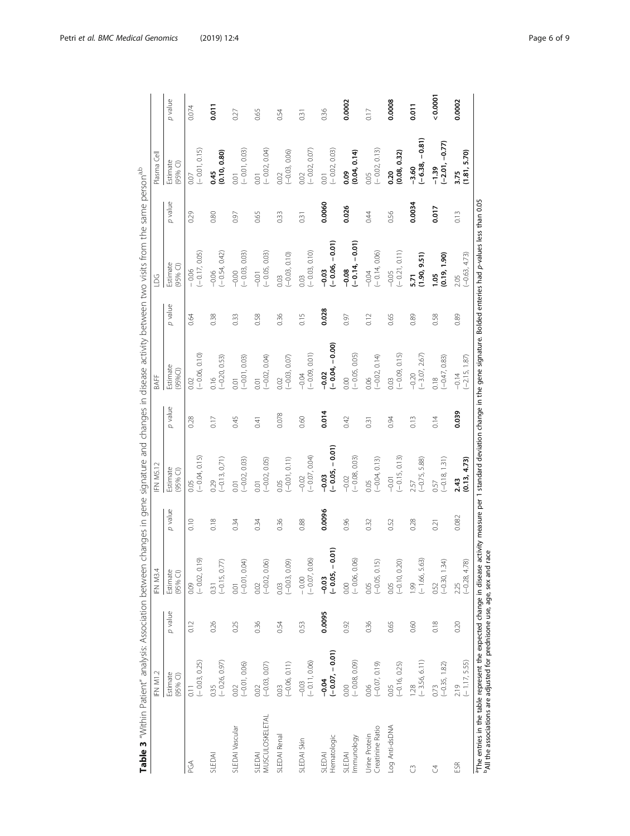<span id="page-5-0"></span>

| Table 3 "Within Patient" analysis: Association between                                                                                                     | <b>FN M1.2</b>                   |         | <b>IFN M3.4</b>                     |         | <b>FN M5.12</b>                   |         | BAFF                              |         | changes in gene signature and changes in disease activity between two visits from the same person <sup>a,b</sup><br>ğ |         | Plasma Cell                       |         |
|------------------------------------------------------------------------------------------------------------------------------------------------------------|----------------------------------|---------|-------------------------------------|---------|-----------------------------------|---------|-----------------------------------|---------|-----------------------------------------------------------------------------------------------------------------------|---------|-----------------------------------|---------|
|                                                                                                                                                            | Estimate<br>$(95%$ CI)           | p value | Estimate<br>(D %5()                 | p value | Estimate<br>95% CI)               | p value | Estimate<br>(95%C)                | p value | Estimate<br>$(95%$ CI)                                                                                                | p value | Estimate<br>(95% CI)              | p value |
| PGA                                                                                                                                                        | $(-0.03, 0.25)$<br>$\frac{1}{2}$ | 0.12    | $(-0.02, 0.19)$<br>0.09             | 0.10    | $-0.04, 0.15$<br>0.05             | 0.28    | $(-0.06, 0.10)$<br>0.02           | 0.64    | $-0.06$<br>$(-0.17, 0.05)$                                                                                            | 0.29    | $(-0.01, 0.15)$<br>0.07           | 0.074   |
| SLEDAI                                                                                                                                                     | $(-0.26, 0.97)$<br>0.35          | 0.26    | $(-0.15, 0.77)$<br>$\overline{0}31$ | 0.18    | $-0.13, 0.71$<br>0.29             | 0.17    | $(-0.20, 0.53)$<br>0.16           | 0.38    | $-0.06$<br>$(-0.54, 0.42)$                                                                                            | 0.80    | (0.10, 0.80)<br>0.45              | 0.011   |
| SLEDAI Vascular                                                                                                                                            | $(-0.01, 0.06)$<br>0.02          | 0.25    | $(-0.01, 0.04)$<br>$\overline{0}$ . | 0.34    | $(-0.02, 0.03)$<br>$\overline{0}$ | 0.45    | $-0.01, 0.03$<br>0.01             | 0.33    | 0.03)<br>$(-0.03,$<br>$-0.00$                                                                                         | 0.97    | $(-0.01, 0.03)$<br>0.01           | 0.27    |
| <b>MUSCULOSKELETAL</b><br>SLEDAI                                                                                                                           | $(-0.03, 0.07)$<br>0.02          | 0.36    | $(-0.02, 0.06$<br>0.02              | 0.34    | $(-0.02, 0.05)$<br>$\overline{0}$ | 0.41    | $(-0.02, 0.04)$<br>$\overline{0}$ | 0.58    | $(-0.05, 0.03)$<br>$-0.01$                                                                                            | 0.65    | $(-0.02, 0.04)$<br>$\overline{0}$ | 0.65    |
| SLEDAI Renal                                                                                                                                               | $(-0.06, 0.11)$<br>0.03          | 0.54    | $(-0.03, 0.09)$<br>0.03             | 0.36    | $-0.01, 0.11$<br>0.05             | 0.078   | $-0.03, 0.07$<br>0.02             | 0.36    | $(-0.03, 0.10)$<br>0.03                                                                                               | 0.33    | $(-0.03, 0.06)$<br>0.02           | 0.54    |
| SLEDAI Skin                                                                                                                                                | $(-0.11, 0.06)$<br>$-0.03$       | 0.53    | $(-0.07, 0.06)$<br>$-0.00 -$        | 0.88    | $(-0.07, 0.04)$<br>$-0.02$        | 0.60    | $(-0.09, 0.01)$<br>$-0.04$        | 0.15    | 0.10<br>$(-0.03, 0.03)$<br>0.03                                                                                       | 0.31    | $(-0.02, 0.07)$<br>0.02           | 0.31    |
| Hematologic<br>SLEDAI                                                                                                                                      | $(-0.07, -0.01)$<br>$-0.04$      | 0.0095  | $(-0.05, -0.01)$<br>$-0.03$         | 0.0096  | $(-0.05, -0.01)$<br>$-0.03$       | 0.014   | $-0.02$<br>$(-0.04, -0.00)$       | 0.028   | $-0.03$<br>$(-0.06, -0.01)$                                                                                           | 0.0060  | $(-0.02, 0.03)$<br>0.01           | 0.36    |
| Immunology<br>SLEDAI                                                                                                                                       | $(-0.08, 0.09)$<br>0.00          | 0.92    | $(-0.06, 0.06)$<br>0.00             | 0.96    | $(-0.08, 0.03)$<br>$-0.02$        | 0.42    | $(-0.05, 0.05)$<br>0.00           | 0.97    | $(-0.14,-0.01)$<br>$-0.08$                                                                                            | 0.026   | (0.04, 0.14)<br>0.09              | 0.0002  |
| Creatinine Ratio<br>Urine Protein                                                                                                                          | $(-0.07, 0.19)$<br>0.06          | 0.36    | $(-0.05, 0.15)$<br>0.05             | 0.32    | $-0.04, 0.13$<br>0.05             | 0.31    | $-0.02, 0.14$<br>0.06             | 0.12    | $(-0.14, 0.06)$<br>$-0.04$                                                                                            | 0.44    | $-0.02, 0.13$<br>0.05             | 0.17    |
| -og Anti-dsDNA                                                                                                                                             | $(-0.16, 0.25)$<br>0.05          | 0.65    | $(-0.10, 0.20)$<br>0.05             | 0.52    | $(-0.15, 0.13)$<br>$-0.01$        | 0.94    | $-0.09, 0.15$<br>0.03             | 0.65    | $(-0.21, 0.11)$<br>$-0.05$                                                                                            | 0.56    | (0.08, 0.32)<br>0.20              | 0.0008  |
| U                                                                                                                                                          | $(-3.56, 6.11)$<br>1.28          | 0.60    | $(-1.66, 5.63)$<br>1.99             | 0.28    | $(-0.75, 5.88)$<br>2.57           | 0.13    | $(-3.07, 2.67)$<br>$-0.20$        | 0.89    | (1.90, 9.51)<br>5.71                                                                                                  | 0.0034  | $(-6.38, -0.81)$<br>$-3.60$       | 0.011   |
| J                                                                                                                                                          | $(-0.35, 1.82)$<br>0.73          | 0.18    | $(-0.30, 1.34)$<br>0.52             | 0.21    | $-0.18, 1.31$<br>0.57             | 0.14    | $-0.47, 0.83$<br>0.18             | 0.58    | (0.19, 1.90)<br>1.05                                                                                                  | 0.017   | $(-2.01, -0.77)$<br>$-1.39$       | 0.0001  |
| ESR                                                                                                                                                        | $(-1.17, 5.55)$<br>219           | 0.20    | $(-0.28, 4.78)$<br>2.25             | 0.082   | (0.13, 4.73)<br>2.43              | 0.039   | $(-2.15, 1.87)$<br>$-0.14$        | 0.89    | $(-0.63, 4.73)$<br>2.05                                                                                               | 0.13    | (1.81, 5.70)<br>3.75              | 0.0002  |
| PAII the associations are adjusted for prednisone use, age, sex and race<br><sup>a</sup> The entries in the table represent the expected change in disease |                                  |         |                                     |         |                                   |         |                                   |         | activity measure per 1 standard deviation change in the gene signature. Bolded enteries had p-values less than 0.05   |         |                                   |         |

5, ჭ. უ.  $\frac{a}{b}$ ∑ bAll the associations are adjusted for prednisone use, age, sex and race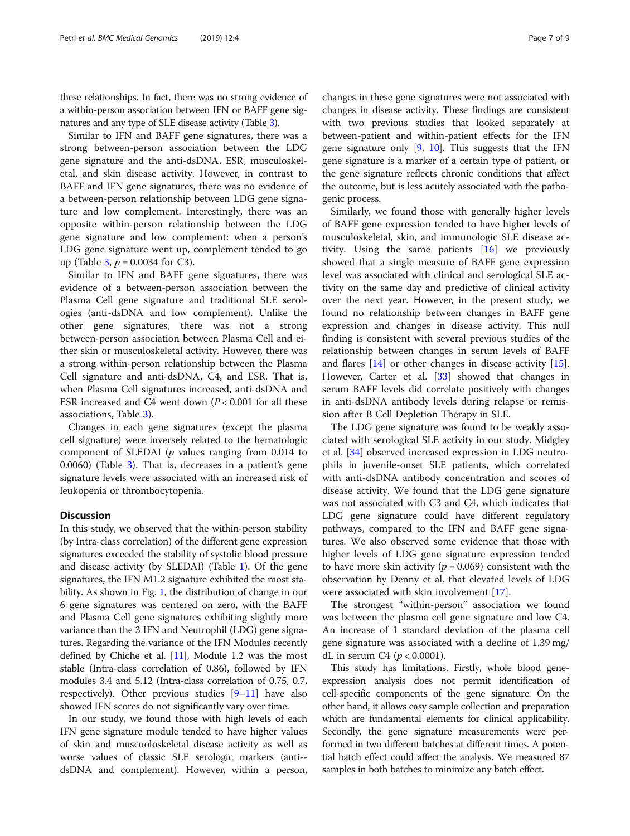these relationships. In fact, there was no strong evidence of a within-person association between IFN or BAFF gene signatures and any type of SLE disease activity (Table [3](#page-5-0)).

Similar to IFN and BAFF gene signatures, there was a strong between-person association between the LDG gene signature and the anti-dsDNA, ESR, musculoskeletal, and skin disease activity. However, in contrast to BAFF and IFN gene signatures, there was no evidence of a between-person relationship between LDG gene signature and low complement. Interestingly, there was an opposite within-person relationship between the LDG gene signature and low complement: when a person's LDG gene signature went up, complement tended to go up (Table [3](#page-5-0),  $p = 0.0034$  for C3).

Similar to IFN and BAFF gene signatures, there was evidence of a between-person association between the Plasma Cell gene signature and traditional SLE serologies (anti-dsDNA and low complement). Unlike the other gene signatures, there was not a strong between-person association between Plasma Cell and either skin or musculoskeletal activity. However, there was a strong within-person relationship between the Plasma Cell signature and anti-dsDNA, C4, and ESR. That is, when Plasma Cell signatures increased, anti-dsDNA and ESR increased and C4 went down  $(P < 0.001$  for all these associations, Table [3\)](#page-5-0).

Changes in each gene signatures (except the plasma cell signature) were inversely related to the hematologic component of SLEDAI ( $p$  values ranging from 0.014 to 0.0060) (Table [3](#page-5-0)). That is, decreases in a patient's gene signature levels were associated with an increased risk of leukopenia or thrombocytopenia.

## **Discussion**

In this study, we observed that the within-person stability (by Intra-class correlation) of the different gene expression signatures exceeded the stability of systolic blood pressure and disease activity (by SLEDAI) (Table [1](#page-3-0)). Of the gene signatures, the IFN M1.2 signature exhibited the most sta-bility. As shown in Fig. [1,](#page-3-0) the distribution of change in our 6 gene signatures was centered on zero, with the BAFF and Plasma Cell gene signatures exhibiting slightly more variance than the 3 IFN and Neutrophil (LDG) gene signatures. Regarding the variance of the IFN Modules recently defined by Chiche et al.  $[11]$ , Module 1.2 was the most stable (Intra-class correlation of 0.86), followed by IFN modules 3.4 and 5.12 (Intra-class correlation of 0.75, 0.7, respectively). Other previous studies  $[9-11]$  $[9-11]$  $[9-11]$  have also showed IFN scores do not significantly vary over time.

In our study, we found those with high levels of each IFN gene signature module tended to have higher values of skin and muscuoloskeletal disease activity as well as worse values of classic SLE serologic markers (anti- dsDNA and complement). However, within a person, changes in these gene signatures were not associated with changes in disease activity. These findings are consistent with two previous studies that looked separately at between-patient and within-patient effects for the IFN gene signature only  $[9, 10]$  $[9, 10]$  $[9, 10]$  $[9, 10]$ . This suggests that the IFN gene signature is a marker of a certain type of patient, or the gene signature reflects chronic conditions that affect the outcome, but is less acutely associated with the pathogenic process.

Similarly, we found those with generally higher levels of BAFF gene expression tended to have higher levels of musculoskeletal, skin, and immunologic SLE disease activity. Using the same patients  $[16]$  $[16]$  $[16]$  we previously showed that a single measure of BAFF gene expression level was associated with clinical and serological SLE activity on the same day and predictive of clinical activity over the next year. However, in the present study, we found no relationship between changes in BAFF gene expression and changes in disease activity. This null finding is consistent with several previous studies of the relationship between changes in serum levels of BAFF and flares [\[14\]](#page-8-0) or other changes in disease activity [\[15](#page-8-0)]. However, Carter et al. [[33](#page-8-0)] showed that changes in serum BAFF levels did correlate positively with changes in anti-dsDNA antibody levels during relapse or remission after B Cell Depletion Therapy in SLE.

The LDG gene signature was found to be weakly associated with serological SLE activity in our study. Midgley et al. [[34](#page-8-0)] observed increased expression in LDG neutrophils in juvenile-onset SLE patients, which correlated with anti-dsDNA antibody concentration and scores of disease activity. We found that the LDG gene signature was not associated with C3 and C4, which indicates that LDG gene signature could have different regulatory pathways, compared to the IFN and BAFF gene signatures. We also observed some evidence that those with higher levels of LDG gene signature expression tended to have more skin activity ( $p = 0.069$ ) consistent with the observation by Denny et al. that elevated levels of LDG were associated with skin involvement [[17\]](#page-8-0).

The strongest "within-person" association we found was between the plasma cell gene signature and low C4. An increase of 1 standard deviation of the plasma cell gene signature was associated with a decline of 1.39 mg/ dL in serum C4 ( $p < 0.0001$ ).

This study has limitations. Firstly, whole blood geneexpression analysis does not permit identification of cell-specific components of the gene signature. On the other hand, it allows easy sample collection and preparation which are fundamental elements for clinical applicability. Secondly, the gene signature measurements were performed in two different batches at different times. A potential batch effect could affect the analysis. We measured 87 samples in both batches to minimize any batch effect.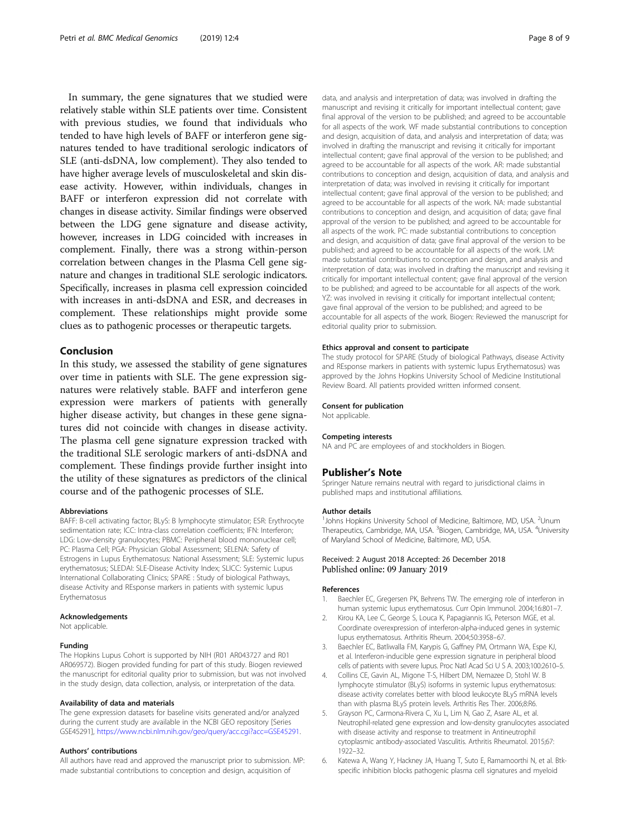<span id="page-7-0"></span>In summary, the gene signatures that we studied were relatively stable within SLE patients over time. Consistent with previous studies, we found that individuals who tended to have high levels of BAFF or interferon gene signatures tended to have traditional serologic indicators of SLE (anti-dsDNA, low complement). They also tended to have higher average levels of musculoskeletal and skin disease activity. However, within individuals, changes in BAFF or interferon expression did not correlate with changes in disease activity. Similar findings were observed between the LDG gene signature and disease activity, however, increases in LDG coincided with increases in complement. Finally, there was a strong within-person correlation between changes in the Plasma Cell gene signature and changes in traditional SLE serologic indicators. Specifically, increases in plasma cell expression coincided with increases in anti-dsDNA and ESR, and decreases in complement. These relationships might provide some clues as to pathogenic processes or therapeutic targets.

## Conclusion

In this study, we assessed the stability of gene signatures over time in patients with SLE. The gene expression signatures were relatively stable. BAFF and interferon gene expression were markers of patients with generally higher disease activity, but changes in these gene signatures did not coincide with changes in disease activity. The plasma cell gene signature expression tracked with the traditional SLE serologic markers of anti-dsDNA and complement. These findings provide further insight into the utility of these signatures as predictors of the clinical course and of the pathogenic processes of SLE.

#### Abbreviations

BAFF: B-cell activating factor; BLyS: B lymphocyte stimulator; ESR: Erythrocyte sedimentation rate; ICC: Intra-class correlation coefficients; IFN: Interferon; LDG: Low-density granulocytes; PBMC: Peripheral blood mononuclear cell; PC: Plasma Cell; PGA: Physician Global Assessment; SELENA: Safety of Estrogens in Lupus Erythematosus: National Assessment; SLE: Systemic lupus erythematosus; SLEDAI: SLE-Disease Activity Index; SLICC: Systemic Lupus International Collaborating Clinics; SPARE : Study of biological Pathways, disease Activity and REsponse markers in patients with systemic lupus Erythematosus

#### Acknowledgements

Not applicable.

#### Funding

The Hopkins Lupus Cohort is supported by NIH (R01 AR043727 and R01 AR069572). Biogen provided funding for part of this study. Biogen reviewed the manuscript for editorial quality prior to submission, but was not involved in the study design, data collection, analysis, or interpretation of the data.

#### Availability of data and materials

The gene expression datasets for baseline visits generated and/or analyzed during the current study are available in the NCBI GEO repository [Series GSE45291], <https://www.ncbi.nlm.nih.gov/geo/query/acc.cgi?acc=GSE45291>.

#### Authors' contributions

All authors have read and approved the manuscript prior to submission. MP: made substantial contributions to conception and design, acquisition of

data, and analysis and interpretation of data; was involved in drafting the manuscript and revising it critically for important intellectual content; gave final approval of the version to be published; and agreed to be accountable for all aspects of the work. WF made substantial contributions to conception and design, acquisition of data, and analysis and interpretation of data; was involved in drafting the manuscript and revising it critically for important intellectual content; gave final approval of the version to be published; and agreed to be accountable for all aspects of the work. AR: made substantial contributions to conception and design, acquisition of data, and analysis and interpretation of data; was involved in revising it critically for important intellectual content; gave final approval of the version to be published; and agreed to be accountable for all aspects of the work. NA: made substantial contributions to conception and design, and acquisition of data; gave final approval of the version to be published; and agreed to be accountable for all aspects of the work. PC: made substantial contributions to conception and design, and acquisition of data; gave final approval of the version to be published; and agreed to be accountable for all aspects of the work. LM: made substantial contributions to conception and design, and analysis and interpretation of data; was involved in drafting the manuscript and revising it critically for important intellectual content; gave final approval of the version to be published; and agreed to be accountable for all aspects of the work. YZ: was involved in revising it critically for important intellectual content; gave final approval of the version to be published; and agreed to be accountable for all aspects of the work. Biogen: Reviewed the manuscript for editorial quality prior to submission.

#### Ethics approval and consent to participate

The study protocol for SPARE (Study of biological Pathways, disease Activity and REsponse markers in patients with systemic lupus Erythematosus) was approved by the Johns Hopkins University School of Medicine Institutional Review Board. All patients provided written informed consent.

#### Consent for publication

Not applicable.

#### Competing interests

NA and PC are employees of and stockholders in Biogen.

#### Publisher's Note

Springer Nature remains neutral with regard to jurisdictional claims in published maps and institutional affiliations.

#### Author details

<sup>1</sup> Johns Hopkins University School of Medicine, Baltimore, MD, USA. <sup>2</sup>Unum Therapeutics, Cambridge, MA, USA. <sup>3</sup>Biogen, Cambridge, MA, USA. <sup>4</sup>University of Maryland School of Medicine, Baltimore, MD, USA.

#### Received: 2 August 2018 Accepted: 26 December 2018 Published online: 09 January 2019

#### References

- Baechler EC, Gregersen PK, Behrens TW. The emerging role of interferon in human systemic lupus erythematosus. Curr Opin Immunol. 2004;16:801–7.
- 2. Kirou KA, Lee C, George S, Louca K, Papagiannis IG, Peterson MGE, et al. Coordinate overexpression of interferon-alpha-induced genes in systemic lupus erythematosus. Arthritis Rheum. 2004;50:3958–67.
- 3. Baechler EC, Batliwalla FM, Karypis G, Gaffney PM, Ortmann WA, Espe KJ, et al. Interferon-inducible gene expression signature in peripheral blood cells of patients with severe lupus. Proc Natl Acad Sci U S A. 2003;100:2610–5.
- 4. Collins CE, Gavin AL, Migone T-S, Hilbert DM, Nemazee D, Stohl W. B lymphocyte stimulator (BLyS) isoforms in systemic lupus erythematosus: disease activity correlates better with blood leukocyte BLyS mRNA levels than with plasma BLyS protein levels. Arthritis Res Ther. 2006;8:R6.
- 5. Grayson PC, Carmona-Rivera C, Xu L, Lim N, Gao Z, Asare AL, et al. Neutrophil-related gene expression and low-density granulocytes associated with disease activity and response to treatment in Antineutrophil cytoplasmic antibody-associated Vasculitis. Arthritis Rheumatol. 2015;67: 1922–32.
- 6. Katewa A, Wang Y, Hackney JA, Huang T, Suto E, Ramamoorthi N, et al. Btkspecific inhibition blocks pathogenic plasma cell signatures and myeloid